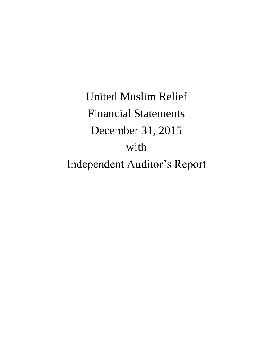United Muslim Relief Financial Statements December 31, 2015 with Independent Auditor's Report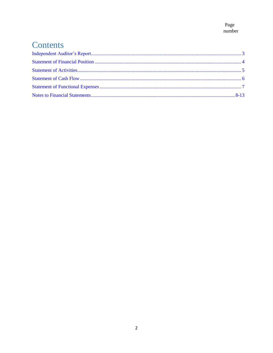# Contents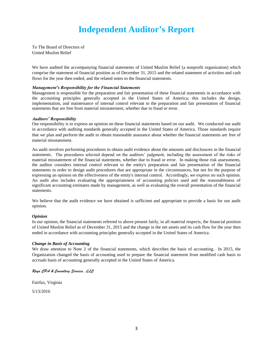# **Independent Auditor's Report**

<span id="page-2-0"></span>To The Board of Directors of United Muslim Relief

We have audited the accompanying financial statements of United Muslim Relief (a nonprofit organization) which comprise the statement of financial position as of December 31, 2015 and the related statement of activities and cash flows for the year then ended, and the related notes to the financial statements.

#### *Management's Responsibility for the Financial Statements*

Management is responsible for the preparation and fair presentation of these financial statements in accordance with the accounting principles generally accepted in the United States of America; this includes the design, implementation, and maintenance of internal control relevant to the preparation and fair presentation of financial statements that are free from material misstatement, whether due to fraud or error.

#### *Auditors' Responsibility*

Our responsibility is to express an opinion on these financial statements based on our audit. We conducted our audit in accordance with auditing standards generally accepted in the United States of America. Those standards require that we plan and perform the audit to obtain reasonable assurance about whether the financial statements are free of material misstatement.

An audit involves performing procedures to obtain audit evidence about the amounts and disclosures in the financial statements. The procedures selected depend on the auditors' judgment, including the assessment of the risks of material misstatement of the financial statements, whether due to fraud or error. In making those risk assessments, the auditor considers internal control relevant to the entity's preparation and fair presentation of the financial statements in order to design audit procedures that are appropriate in the circumstances, but not for the purpose of expressing an opinion on the effectiveness of the entity's internal control. Accordingly, we express no such opinion. An audit also includes evaluating the appropriateness of accounting policies used and the reasonableness of significant accounting estimates made by management, as well as evaluating the overall presentation of the financial statements.

We believe that the audit evidence we have obtained is sufficient and appropriate to provide a basis for our audit opinion.

#### *Opinion*

In our opinion, the financial statements referred to above present fairly, in all material respects, the financial position of United Muslim Relief as of December 31, 2015 and the change in the net assets and its cash flow for the year then ended in accordance with accounting principles generally accepted in the United States of America.

#### *Change in Basis of Accounting*

We draw attention to Note 2 of the financial statements, which describes the basis of accounting. In 2015, the Organization changed the basis of accounting used to prepare the financial statement from modified cash basis to accruals basis of accounting generally accepted in the United States of America.

*Raya CPA & Consulting Services, LLC*

Fairfax, Virginia

5/13/2016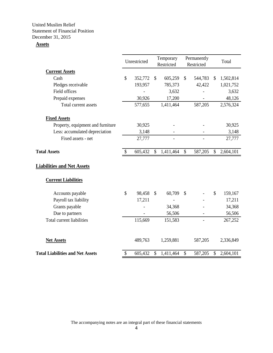# <span id="page-3-0"></span>United Muslim Relief Statement of Financial Position December 31, 2015

# **Assets**

|                                         |                           | Unrestricted |               | Temporary<br>Restricted |               | Permanently<br>Restricted |     | Total     |
|-----------------------------------------|---------------------------|--------------|---------------|-------------------------|---------------|---------------------------|-----|-----------|
| <b>Current Assets</b>                   |                           |              |               |                         |               |                           |     |           |
| Cash                                    | \$                        | 352,772      | $\mathbb{S}$  | 605,259                 | \$            | 544,783                   | \$  | 1,502,814 |
| Pledges receivable                      |                           | 193,957      |               | 785,373                 |               | 42,422                    |     | 1,021,752 |
| Field offices                           |                           |              |               | 3,632                   |               |                           |     | 3,632     |
| Prepaid expenses                        |                           | 30,926       |               | 17,200                  |               |                           |     | 48,126    |
| Total current assets                    |                           | 577,655      |               | 1,411,464               |               | 587,205                   |     | 2,576,324 |
| <b>Fixed Assets</b>                     |                           |              |               |                         |               |                           |     |           |
| Property, equipment and furniture       |                           | 30,925       |               |                         |               |                           |     | 30,925    |
| Less: accumulated depreciation          |                           | 3,148        |               |                         |               |                           |     | 3,148     |
| Fixed assets - net                      |                           | 27,777       |               |                         |               |                           |     | 27,777    |
| <b>Total Assets</b>                     | $\sqrt{\ }$               | 605,432      | $\mathcal{S}$ | 1,411,464               | \$            | 587,205                   | \$  | 2,604,101 |
| <b>Liabilities and Net Assets</b>       |                           |              |               |                         |               |                           |     |           |
| <b>Current Liabilities</b>              |                           |              |               |                         |               |                           |     |           |
| Accounts payable                        | $\mathsf{\$}$             | 98,458       | $\mathcal{S}$ | 60,709                  | $\mathcal{S}$ |                           | \$. | 159,167   |
| Payroll tax liability                   |                           | 17,211       |               | $\overline{a}$          |               |                           |     | 17,211    |
| Grants payable                          |                           |              |               | 34,368                  |               |                           |     | 34,368    |
| Due to partners                         |                           |              |               | 56,506                  |               |                           |     | 56,506    |
| Total current liabilities               |                           | 115,669      |               | 151,583                 |               |                           |     | 267,252   |
| <b>Net Assets</b>                       |                           | 489,763      |               | 1,259,881               |               | 587,205                   |     | 2,336,849 |
| <b>Total Liabilities and Net Assets</b> | $\boldsymbol{\mathsf{S}}$ | 605,432      | \$            | 1,411,464               | \$            | 587,205                   | \$  | 2,604,101 |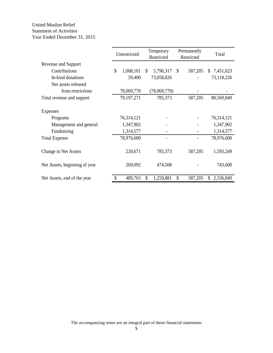# <span id="page-4-0"></span>United Muslim Relief Statement of Activities Year Ended December 31, 2015

|                               | Unrestricted    | Temporary<br>Restricted    | Permanently<br>Restricted | Total           |
|-------------------------------|-----------------|----------------------------|---------------------------|-----------------|
| Revenue and Support           |                 |                            |                           |                 |
| Contributions                 | \$<br>1,068,101 | 5,796,317<br><sup>\$</sup> | 587,205<br><sup>\$</sup>  | 7,451,623<br>S. |
| In-kind donations             | 59,400          | 73,058,826                 |                           | 73,118,226      |
| Net assets released           |                 |                            |                           |                 |
| from restrictions             | 78,069,770      | (78,069,770)               |                           |                 |
| Total revenue and support     | 79, 197, 271    | 785,373                    | 587,205                   | 80,569,849      |
| <b>Expenses</b>               |                 |                            |                           |                 |
| Programs                      | 76,314,121      |                            |                           | 76,314,121      |
| Management and general        | 1,347,902       |                            |                           | 1,347,902       |
| Fundraising                   | 1,314,577       |                            |                           | 1,314,577       |
| <b>Total Expense</b>          | 78,976,600      |                            |                           | 78,976,600      |
| Change in Net Assets          | 220,671         | 785,373                    | 587,205                   | 1,593,249       |
| Net Assets, beginning of year | 269,092         | 474,508                    |                           | 743,600         |
| Net Assets, end of the year   | 489,763<br>S    | \$<br>1,259,881            | \$<br>587,205             | 2,336,849<br>S  |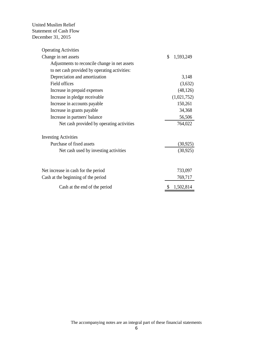# United Muslim Relief Statement of Cash Flow December 31, 2015

| <b>Operating Activities</b>                   |    |             |
|-----------------------------------------------|----|-------------|
| Change in net assets                          | \$ | 1,593,249   |
| Adjustments to reconcile change in net assets |    |             |
| to net cash provided by operating activities: |    |             |
| Depreciation and amortization                 |    | 3,148       |
| Field offices                                 |    | (3,632)     |
| Increase in prepaid expenses                  |    | (48, 126)   |
| Increase in pledge receivable                 |    | (1,021,752) |
| Increase in accounts payable                  |    | 150,261     |
| Increase in grants payable                    |    | 34,368      |
| Increase in partners' balance                 |    | 56,506      |
| Net cash provided by operating activities     |    | 764,022     |
| <b>Investing Activities</b>                   |    |             |
| Purchase of fixed assets                      |    | (30, 925)   |
| Net cash used by investing activities         |    | (30, 925)   |
|                                               |    |             |
| Net increase in cash for the period           |    | 733,097     |
| Cash at the beginning of the period           |    | 769,717     |
| Cash at the end of the period                 | S  | 1,502,814   |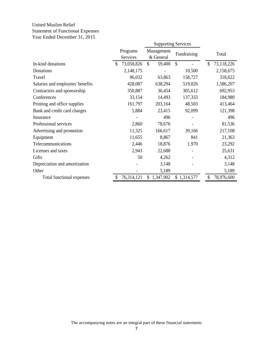# <span id="page-6-0"></span>United Muslim Relief Statement of Functional Expenses Year Ended December 31, 2015

|                                  | <b>Supporting Services</b> |                      |                         |           |               |             |             |            |  |       |
|----------------------------------|----------------------------|----------------------|-------------------------|-----------|---------------|-------------|-------------|------------|--|-------|
|                                  |                            | Programs<br>Services | Management<br>& General |           |               |             | Fundraising |            |  | Total |
| In-kind donations                | \$                         | 73,058,826           | \$                      | 59,400    | $\mathcal{S}$ |             | \$          | 73,118,226 |  |       |
| Donations                        |                            | 2,148,175            |                         |           |               | 10,500      |             | 2,158,675  |  |       |
| Travel                           |                            | 96,032               |                         | 63,863    |               | 158,727     |             | 318,622    |  |       |
| Salaries and employees' benefits |                            | 428,087              |                         | 638,294   |               | 519,826     |             | 1,586,207  |  |       |
| Contractors and sponsorship      |                            | 350,887              |                         | 36,454    |               | 305,612     |             | 692,953    |  |       |
| Conferences                      |                            | 33,154               |                         | 14,493    |               | 137,333     |             | 184,980    |  |       |
| Printing and office supplies     |                            | 161,797              |                         | 203,164   |               | 48,503      |             | 413,464    |  |       |
| Bank and credit card charges     |                            | 5,884                |                         | 23,415    |               | 92,099      |             | 121,398    |  |       |
| Insurance                        |                            |                      |                         | 496       |               |             |             | 496        |  |       |
| Professional services            |                            | 2,860                |                         | 78,676    |               |             |             | 81,536     |  |       |
| Advertising and promotion        |                            | 11,325               |                         | 166,617   |               | 39,166      |             | 217,108    |  |       |
| Equipment                        |                            | 11,655               |                         | 8,867     |               | 841         |             | 21,363     |  |       |
| Telecommunications               |                            | 2,446                |                         | 18,876    |               | 1,970       |             | 23,292     |  |       |
| Licenses and taxes               |                            | 2,943                |                         | 22,688    |               |             |             | 25,631     |  |       |
| Gifts                            |                            | 50                   |                         | 4,262     |               |             |             | 4,312      |  |       |
| Depreciation and amortization    |                            |                      |                         | 3,148     |               |             |             | 3,148      |  |       |
| Other                            |                            |                      |                         | 5,189     |               |             |             | 5,189      |  |       |
| Total functional expenses        | S                          | 76,314,121           | \$                      | 1,347,902 |               | \$1,314,577 | S           | 78,976,600 |  |       |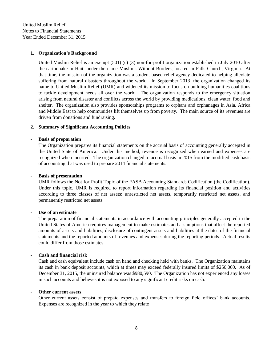<span id="page-7-0"></span>United Muslim Relief Notes to Financial Statements Year Ended December 31, 2015

## **1. Organization's Background**

United Muslim Relief is an exempt (501) (c) (3) non-for-profit organization established in July 2010 after the earthquake in Haiti under the name Muslims Without Borders, located in Falls Church, Virginia. At that time, the mission of the organization was a student based relief agency dedicated to helping alleviate suffering from natural disasters throughout the world. In September 2013, the organization changed its name to Untied Muslim Relief (UMR) and widened its mission to focus on building humanities coalitions to tackle development needs all over the world. The organization responds to the emergency situation arising from natural disaster and conflicts across the world by providing medications, clean water, food and shelter. The organization also provides sponsorships programs to orphans and orphanages in Asia, Africa and Middle East to help communities lift themselves up from poverty. The main source of its revenues are driven from donations and fundraising.

#### **2. Summary of Significant Accounting Policies**

#### - **Basis of preparation**

The Organization prepares its financial statements on the accrual basis of accounting generally accepted in the United State of America. Under this method, revenue is recognized when earned and expenses are recognized when incurred. The organization changed to accrual basis in 2015 from the modified cash basis of accounting that was used to prepare 2014 financial statements.

#### - **Basis of presentation**

UMR follows the Not-for-Profit Topic of the FASB Accounting Standards Codification (the Codification). Under this topic, UMR is required to report information regarding its financial position and activities according to three classes of net assets: unrestricted net assets, temporarily restricted net assets, and permanently restricted net assets.

## - **Use of an estimate**

The preparation of financial statements in accordance with accounting principles generally accepted in the United States of America requires management to make estimates and assumptions that affect the reported amounts of assets and liabilities, disclosure of contingent assets and liabilities at the dates of the financial statements and the reported amounts of revenues and expenses during the reporting periods. Actual results could differ from those estimates.

## - **Cash and financial risk**

Cash and cash equivalent include cash on hand and checking held with banks. The Organization maintains its cash in bank deposit accounts, which at times may exceed federally insured limits of \$250,000. As of December 31, 2015, the uninsured balance was \$980,590. The Organization has not experienced any losses in such accounts and believes it is not exposed to any significant credit risks on cash.

#### **Other current assets**

Other current assets consist of prepaid expenses and transfers to foreign field offices' bank accounts. Expenses are recognized in the year to which they relate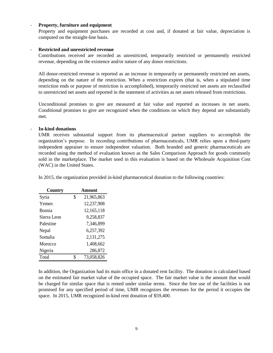#### - **Property, furniture and equipment**

Property and equipment purchases are recorded at cost and, if donated at fair value, depreciation is computed on the straight-line basis.

#### - **Restricted and unrestricted revenue**

Contributions received are recorded as unrestricted, temporarily restricted or permanently restricted revenue, depending on the existence and/or nature of any donor restrictions.

All donor-restricted revenue is reported as an increase in temporarily or permanently restricted net assets, depending on the nature of the restriction. When a restriction expires (that is, when a stipulated time restriction ends or purpose of restriction is accomplished), temporarily restricted net assets are reclassified to unrestricted net assets and reported in the statement of activities as net assets released from restrictions.

Unconditional promises to give are measured at fair value and reported as increases in net assets. Conditional promises to give are recognized when the conditions on which they depend are substantially met.

## - **In-kind donations**

UMR receives substantial support from its pharmaceutical partner suppliers to accomplish the organization's purpose. In recording contributions of pharmaceuticals, UMR relies upon a third-party independent appraiser to ensure independent valuation. Both branded and generic pharmaceuticals are recorded using the method of evaluation known as the Sales Comparison Approach for goods commonly sold in the marketplace. The market used in this evaluation is based on the Wholesale Acquisition Cost (WAC) in the United States.

In 2015, the organization provided in-kind pharmaceutical donation to the following countries:

| Country       | Amount           |
|---------------|------------------|
| Syria         | \$<br>21,965,863 |
| Yemen         | 12,237,908       |
| <b>Bosnia</b> | 12,165,118       |
| Sierra Leon   | 9,258,837        |
| Palestine     | 7,346,899        |
| Nepal         | 6,257,392        |
| Somalia       | 2,131,275        |
| Morocco       | 1,408,662        |
| Nigeria       | 286,872          |
| Total         | \$<br>73,058,826 |

In addition, the Organization had its main office in a donated rent facility. The donation is calculated based on the estimated fair market value of the occupied space. The fair market value is the amount that would be charged for similar space that is rented under similar terms. Since the free use of the facilities is not promised for any specified period of time, UMR recognizes the revenues for the period it occupies the space. In 2015, UMR recognized in-kind rent donation of \$59,400.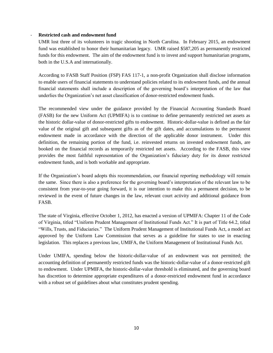#### - **Restricted cash and endowment fund**

UMR lost three of its volunteers in tragic shooting in North Carolina. In February 2015, an endowment fund was established to honor their humanitarian legacy. UMR raised \$587,205 as permanently restricted funds for this endowment. The aim of the endowment fund is to invest and support humanitarian programs, both in the U.S.A and internationally.

According to FASB Staff Position (FSP) FAS 117-1, a non-profit Organization shall disclose information to enable users of financial statements to understand policies related to its endowment funds, and the annual financial statements shall include a description of the governing board's interpretation of the law that underlies the Organization's net asset classification of donor-restricted endowment funds.

The recommended view under the guidance provided by the Financial Accounting Standards Board (FASB) for the new Uniform Act (UPMIFA) is to continue to define permanently restricted net assets as the historic dollar-value of donor-restricted gifts to endowment. Historic-dollar-value is defined as the fair value of the original gift and subsequent gifts as of the gift dates, and accumulations to the permanent endowment made in accordance with the direction of the applicable donor instrument. Under this definition, the remaining portion of the fund, i.e. reinvested returns on invested endowment funds, are booked on the financial records as temporarily restricted net assets. According to the FASB, this view provides the most faithful representation of the Organization's fiduciary duty for its donor restricted endowment funds, and is both workable and appropriate.

If the Organization's board adopts this recommendation, our financial reporting methodology will remain the same. Since there is also a preference for the governing board's interpretation of the relevant law to be consistent from year-to-year going forward, it is our intention to make this a permanent decision, to be reviewed in the event of future changes in the law, relevant court activity and additional guidance from FASB.

The state of Virginia, effective October 1, 2012, has enacted a version of UPMIFA: Chapter 11 of the Code of Virginia, titled "Uniform Prudent Management of Institutional Funds Act." It is part of Title 64.2, titled "Wills, Trusts, and Fiduciaries." The Uniform Prudent Management of Institutional Funds Act, a model act approved by the Uniform Law Commission that serves as a guideline for states to use in enacting legislation. This replaces a previous law, UMIFA, the Uniform Management of Institutional Funds Act.

Under UMIFA, spending below the historic-dollar-value of an endowment was not permitted; the accounting definition of permanently restricted funds was the historic-dollar-value of a donor-restricted gift to endowment. Under UPMIFA, the historic-dollar-value threshold is eliminated, and the governing board has discretion to determine appropriate expenditures of a donor-restricted endowment fund in accordance with a robust set of guidelines about what constitutes prudent spending.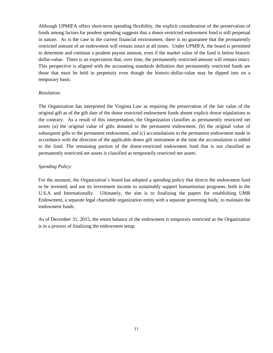Although UPMIFA offers short-term spending flexibility, the explicit consideration of the preservation of funds among factors for prudent spending suggests that a donor-restricted endowment fund is still perpetual in nature. As is the case in the current financial environment, there is no guarantee that the permanently restricted amount of an endowment will remain intact at all times. Under UPMIFA, the board is permitted to determine and continue a prudent payout amount, even if the market value of the fund is below historic dollar-value. There is an expectation that, over time, the permanently restricted amount will remain intact. This perspective is aligned with the accounting standards definition that permanently restricted funds are those that must be held in perpetuity even though the historic-dollar-value may be dipped into on a temporary basis.

#### *Resolution:*

The Organization has interpreted the Virginia Law as requiring the preservation of the fair value of the original gift as of the gift date of the donor restricted endowment funds absent explicit donor stipulations to the contrary. As a result of this interpretation, the Organization classifies as permanently restricted net assets (a) the original value of gifts donated to the permanent endowment, (b) the original value of subsequent gifts to the permanent endowment, and (c) accumulations to the permanent endowment made in accordance with the direction of the applicable donor gift instrument at the time the accumulation is added to the fund. The remaining portion of the donor-restricted endowment fund that is not classified as permanently restricted net assets is classified as temporarily restricted net assets.

#### *Spending Policy:*

For the moment, the Organization's board has adopted a spending policy that directs the endowment fund to be invested, and use its investment income to sustainably support humanitarian programs, both in the U.S.A and Internationally. Ultimately, the aim is to finalizing the papers for establishing UMR Endowment, a separate legal charitable organization entity with a separate governing body, to maintain the endowment funds.

As of December 31, 2015, the entire balance of the endowment is temporary restricted as the Organization is in a process of finalizing the endowment setup.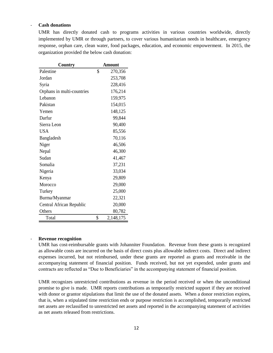## - **Cash donations**

UMR has directly donated cash to programs activities in various countries worldwide, directly implemented by UMR or through partners, to cover various humanitarian needs in healthcare, emergency response, orphan care, clean water, food packages, education, and economic empowerment. In 2015, the organization provided the below cash donation:

| Country                    | Amount          |
|----------------------------|-----------------|
| Palestine                  | \$<br>270,356   |
| Jordan                     | 253,708         |
| Syria                      | 228,416         |
| Orphans in multi-countries | 176,214         |
| Lebanon                    | 159,975         |
| Pakistan                   | 154,015         |
| Yemen                      | 148,125         |
| Darfur                     | 99,844          |
| Sierra Leon                | 90,400          |
| <b>USA</b>                 | 85,556          |
| Bangladesh                 | 70,116          |
| Niger                      | 46,506          |
| Nepal                      | 46,300          |
| Sudan                      | 41,467          |
| Somalia                    | 37,231          |
| Nigeria                    | 33,034          |
| Kenya                      | 29,809          |
| Morocco                    | 29,000          |
| Turkey                     | 25,000          |
| Burma/Myanmar              | 22,321          |
| Central African Republic   | 20,000          |
| Others                     | 80,782          |
| Total                      | \$<br>2,148,175 |

#### - **Revenue recognition**

UMR has cost-reimbursable grants with Johanniter Foundation. Revenue from these grants is recognized as allowable costs are incurred on the basis of direct costs plus allowable indirect costs. Direct and indirect expenses incurred, but not reimbursed, under these grants are reported as grants and receivable in the accompanying statement of financial position. Funds received, but not yet expended, under grants and contracts are reflected as "Due to Beneficiaries" in the accompanying statement of financial position.

UMR recognizes unrestricted contributions as revenue in the period received or when the unconditional promise to give is made. UMR reports contributions as temporarily restricted support if they are received with donor or grantor stipulations that limit the use of the donated assets. When a donor restriction expires, that is, when a stipulated time restriction ends or purpose restriction is accomplished, temporarily restricted net assets are reclassified to unrestricted net assets and reported in the accompanying statement of activities as net assets released from restrictions.